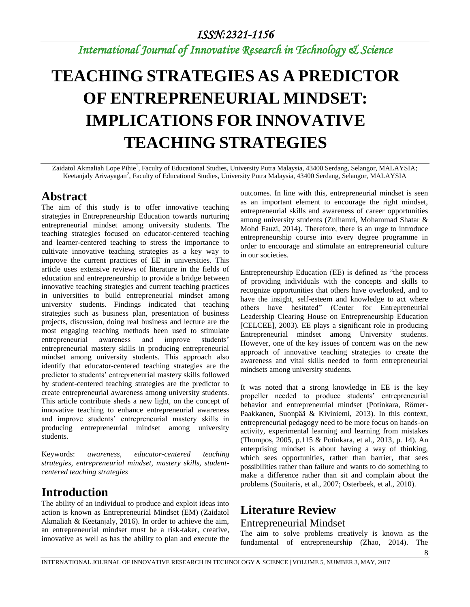# *International Journal of Innovative Research in Technology & Science*

# **TEACHING STRATEGIES AS A PREDICTOR OF ENTREPRENEURIAL MINDSET: IMPLICATIONS FOR INNOVATIVE TEACHING STRATEGIES**

Zaidatol Akmaliah Lope Pihie<sup>1</sup>, Faculty of Educational Studies, University Putra Malaysia, 43400 Serdang, Selangor, MALAYSIA; Keetanjaly Arivayagan<sup>2</sup>, Faculty of Educational Studies, University Putra Malaysia, 43400 Serdang, Selangor, MALAYSIA

## **Abstract**

The aim of this study is to offer innovative teaching strategies in Entrepreneurship Education towards nurturing entrepreneurial mindset among university students. The teaching strategies focused on educator-centered teaching and learner-centered teaching to stress the importance to cultivate innovative teaching strategies as a key way to improve the current practices of EE in universities. This article uses extensive reviews of literature in the fields of education and entrepreneurship to provide a bridge between innovative teaching strategies and current teaching practices in universities to build entrepreneurial mindset among university students. Findings indicated that teaching strategies such as business plan, presentation of business projects, discussion, doing real business and lecture are the most engaging teaching methods been used to stimulate entrepreneurial awareness and improve students' entrepreneurial mastery skills in producing entrepreneurial mindset among university students. This approach also identify that educator-centered teaching strategies are the predictor to students' entrepreneurial mastery skills followed by student-centered teaching strategies are the predictor to create entrepreneurial awareness among university students. This article contribute sheds a new light, on the concept of innovative teaching to enhance entrepreneurial awareness and improve students' entrepreneurial mastery skills in producing entrepreneurial mindset among university students.

Keywords: *awareness, educator-centered teaching strategies, entrepreneurial mindset, mastery skills, studentcentered teaching strategies*

# **Introduction**

The ability of an individual to produce and exploit ideas into action is known as Entrepreneurial Mindset (EM) (Zaidatol Akmaliah & Keetanjaly, 2016). In order to achieve the aim, an entrepreneurial mindset must be a risk-taker, creative, innovative as well as has the ability to plan and execute the outcomes. In line with this, entrepreneurial mindset is seen as an important element to encourage the right mindset, entrepreneurial skills and awareness of career opportunities among university students (Zulhamri, Mohammad Shatar & Mohd Fauzi, 2014). Therefore, there is an urge to introduce entrepreneurship course into every degree programme in order to encourage and stimulate an entrepreneurial culture in our societies.

Entrepreneurship Education (EE) is defined as "the process of providing individuals with the concepts and skills to recognize opportunities that others have overlooked, and to have the insight, self-esteem and knowledge to act where others have hesitated" (Center for Entrepreneurial Leadership Clearing House on Entrepreneurship Education [CELCEE], 2003). EE plays a significant role in producing Entrepreneurial mindset among University students. However, one of the key issues of concern was on the new approach of innovative teaching strategies to create the awareness and vital skills needed to form entrepreneurial mindsets among university students.

It was noted that a strong knowledge in EE is the key propeller needed to produce students' entrepreneurial behavior and entrepreneurial mindset (Potinkara, Römer-Paakkanen, Suonpää & Kiviniemi, 2013). In this context, entrepreneurial pedagogy need to be more focus on hands-on activity, experimental learning and learning from mistakes (Thompos, 2005, p.115 & Potinkara, et al., 2013, p. 14). An enterprising mindset is about having a way of thinking, which sees opportunities, rather than barrier, that sees possibilities rather than failure and wants to do something to make a difference rather than sit and complain about the problems (Souitaris, et al., 2007; Osterbeek, et al., 2010).

# **Literature Review** Entrepreneurial Mindset

The aim to solve problems creatively is known as the fundamental of entrepreneurship (Zhao, 2014). The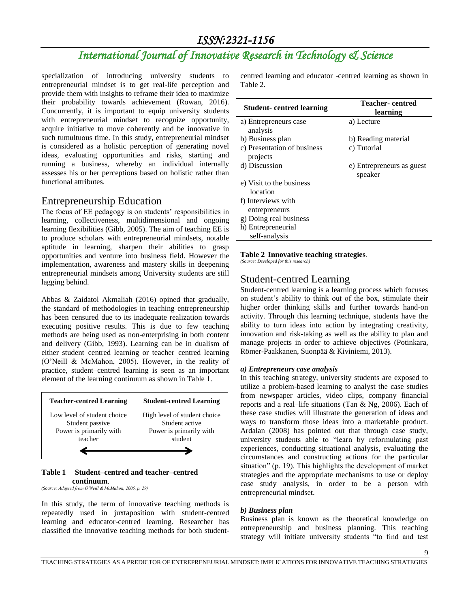# *International Journal of Innovative Research in Technology & Science*

specialization of introducing university students to entrepreneurial mindset is to get real-life perception and provide them with insights to reframe their idea to maximize their probability towards achievement (Rowan, 2016). Concurrently, it is important to equip university students with entrepreneurial mindset to recognize opportunity, acquire initiative to move coherently and be innovative in such tumultuous time. In this study, entrepreneurial mindset is considered as a holistic perception of generating novel ideas, evaluating opportunities and risks, starting and running a business, whereby an individual internally assesses his or her perceptions based on holistic rather than functional attributes.

### Entrepreneurship Education

The focus of EE pedagogy is on students' responsibilities in learning, collectiveness, multidimensional and ongoing learning flexibilities (Gibb, 2005). The aim of teaching EE is to produce scholars with entrepreneurial mindsets, notable aptitude in learning, sharpen their abilities to grasp opportunities and venture into business field. However the implementation, awareness and mastery skills in deepening entrepreneurial mindsets among University students are still lagging behind.

Abbas & Zaidatol Akmaliah (2016) opined that gradually, the standard of methodologies in teaching entrepreneurship has been censured due to its inadequate realization towards executing positive results. This is due to few teaching methods are being used as non-enterprising in both content and delivery (Gibb, 1993). Learning can be in dualism of either student–centred learning or teacher–centred learning (O'Neill & McMahon, 2005). However, in the reality of practice, student–centred learning is seen as an important element of the learning continuum as shown in Table 1.



#### **Table 1 Student–centred and teacher–centred continuum**. *(Source: Adapted from O'Neill & McMahon, 2005, p. 29)*

In this study, the term of innovative teaching methods is repeatedly used in juxtaposition with student-centred learning and educator-centred learning. Researcher has classified the innovative teaching methods for both studentcentred learning and educator -centred learning as shown in Table 2.

| <b>Student-centred learning</b>         | Teacher- centred<br>learning         |
|-----------------------------------------|--------------------------------------|
| a) Entrepreneurs case<br>analysis       | a) Lecture                           |
| b) Business plan                        | b) Reading material                  |
| c) Presentation of business<br>projects | c) Tutorial                          |
| d) Discussion                           | e) Entrepreneurs as guest<br>speaker |
| e) Visit to the business<br>location    |                                      |
| f) Interviews with                      |                                      |
| entrepreneurs                           |                                      |
| g) Doing real business                  |                                      |
| h) Entrepreneurial                      |                                      |
| self-analysis                           |                                      |

### **Table 2 Innovative teaching strategies***.*

*(Source: Developed for this research)*

### Student-centred Learning

Student-centred learning is a learning process which focuses on student's ability to think out of the box, stimulate their higher order thinking skills and further towards hand-on activity. Through this learning technique, students have the ability to turn ideas into action by integrating creativity, innovation and risk-taking as well as the ability to plan and manage projects in order to achieve objectives (Potinkara, Römer-Paakkanen, Suonpää & Kiviniemi, 2013).

### *a) Entrepreneurs case analysis*

In this teaching strategy, university students are exposed to utilize a problem-based learning to analyst the case studies from newspaper articles, video clips, company financial reports and a real–life situations (Tan & Ng, 2006). Each of these case studies will illustrate the generation of ideas and ways to transform those ideas into a marketable product. Ardalan (2008) has pointed out that through case study, university students able to "learn by reformulating past experiences, conducting situational analysis, evaluating the circumstances and constructing actions for the particular situation" (p. 19). This highlights the development of market strategies and the appropriate mechanisms to use or deploy case study analysis, in order to be a person with entrepreneurial mindset.

### *b) Business plan*

Business plan is known as the theoretical knowledge on entrepreneurship and business planning. This teaching strategy will initiate university students "to find and test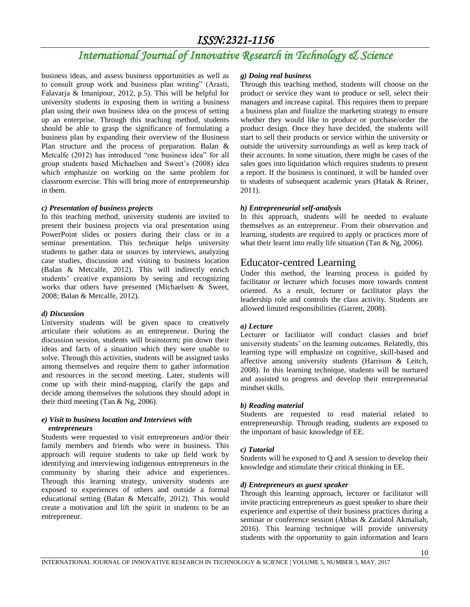# *International Journal of Innovative Research in Technology & Science*

business ideas, and assess business opportunities as well as to consult group work and business plan writing" (Arasti, Falavarja & Imanipour, 2012, p.5). This will be helpful for university students in exposing them in writing a business plan using their own business idea on the process of setting up an enterprise. Through this teaching method, students should be able to grasp the significance of formulating a business plan by expanding their overview of the Business Plan structure and the process of preparation. Balan & Metcalfe (2012) has introduced "one business idea" for all group students based Michaelsen and Sweet's (2008) idea which emphasize on working on the same problem for classroom exercise. This will bring more of entrepreneurship in them.

### *c) Presentation of business projects*

In this teaching method, university students are invited to present their business projects via oral presentation using PowerPoint slides or posters during their class or in a seminar presentation. This technique helps university students to gather data or sources by interviews, analyzing case studies, discussion and visiting to business location (Balan & Metcalfe, 2012). This will indirectly enrich students' creative expansions by seeing and recognizing works that others have presented (Michaelsen & Sweet, 2008; Balan & Metcalfe, 2012).

### *d) Discussion*

University students will be given space to creatively articulate their solutions as an entrepreneur. During the discussion session, students will brainstorm; pin down their ideas and facts of a situation which they were unable to solve. Through this activities, students will be assigned tasks among themselves and require them to gather information and resources in the second meeting. Later, students will come up with their mind-mapping, clarify the gaps and decide among themselves the solutions they should adopt in their third meeting (Tan & Ng, 2006).

### *e) Visit to business location and Interviews with entrepreneurs*

Students were requested to visit entrepreneurs and/or their family members and friends who were in business. This approach will require students to take up field work by identifying and interviewing indigenous entrepreneurs in the community by sharing their advice and experiences. Through this learning strategy, university students are exposed to experiences of others and outside a formal educational setting (Balan & Metcalfe, 2012). This would create a motivation and lift the spirit in students to be an entrepreneur.

### *g) Doing real business*

Through this teaching method, students will choose on the product or service they want to produce or sell, select their managers and increase capital. This requires them to prepare a business plan and finalize the marketing strategy to ensure whether they would like to produce or purchase/order the product design. Once they have decided, the students will start to sell their products or service within the university or outside the university surroundings as well as keep track of their accounts. In some situation, there might be cases of the sales goes into liquidation which requires students to present a report. If the business is continued, it will be handed over to students of subsequent academic years (Hatak & Reiner, 2011).

### *h) Entrepreneurial self-analysis*

In this approach, students will be needed to evaluate themselves as an entrepreneur. From their observation and learning, students are required to apply or practices more of what their learnt into really life situation (Tan & Ng, 2006).

### Educator-centred Learning

Under this method, the learning process is guided by facilitator or lecturer which focuses more towards content oriented. As a result, lecturer or facilitator plays the leadership role and controls the class activity. Students are allowed limited responsibilities (Garrett, 2008).

### *a) Lecture*

Lecturer or facilitator will conduct classes and brief university students' on the learning outcomes. Relatedly, this learning type will emphasize on cognitive, skill-based and affective among university students (Harrison & Leitch, 2008). In this learning technique, students will be nurtured and assisted to progress and develop their entrepreneurial mindset skills.

### *b) Reading material*

Students are requested to read material related to entrepreneurship. Through reading, students are exposed to the important of basic knowledge of EE.

### *c) Tutorial*

Students will be exposed to Q and A session to develop their knowledge and stimulate their critical thinking in EE.

### *d) Entrepreneurs as guest speaker*

Through this learning approach, lecturer or facilitator will invite practicing entrepreneurs as guest speaker to share their experience and expertise of their business practices during a seminar or conference session (Abbas & Zaidatol Akmaliah, 2016). This learning technique will provide university students with the opportunity to gain information and learn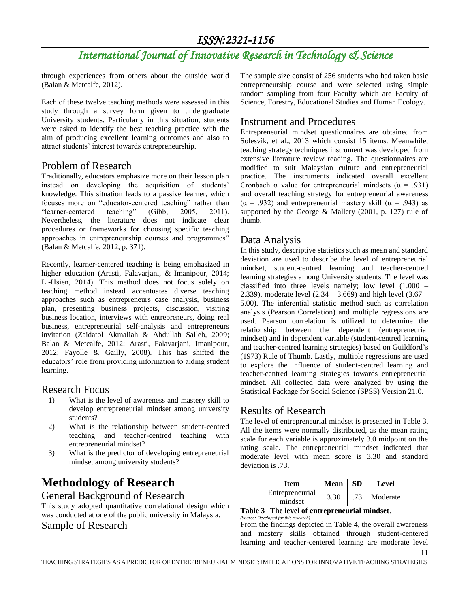# *International Journal of Innovative Research in Technology & Science*

through experiences from others about the outside world (Balan & Metcalfe, 2012).

Each of these twelve teaching methods were assessed in this study through a survey form given to undergraduate University students. Particularly in this situation, students were asked to identify the best teaching practice with the aim of producing excellent learning outcomes and also to attract students' interest towards entrepreneurship.

### Problem of Research

Traditionally, educators emphasize more on their lesson plan instead on developing the acquisition of students' knowledge. This situation leads to a passive learner, which focuses more on "educator-centered teaching" rather than "learner-centered teaching" (Gibb, 2005, 2011). Nevertheless, the literature does not indicate clear procedures or frameworks for choosing specific teaching approaches in entrepreneurship courses and programmes" (Balan & Metcalfe, 2012, p. 371).

Recently, learner-centered teaching is being emphasized in higher education (Arasti, Falavarjani, & Imanipour, 2014; Li-Hsien, 2014). This method does not focus solely on teaching method instead accentuates diverse teaching approaches such as entrepreneurs case analysis, business plan, presenting business projects, discussion, visiting business location, interviews with entrepreneurs, doing real business, entrepreneurial self-analysis and entrepreneurs invitation (Zaidatol Akmaliah & Abdullah Salleh, 2009; Balan & Metcalfe, 2012; Arasti, Falavarjani, Imanipour, 2012; Fayolle & Gailly, 2008). This has shifted the educators' role from providing information to aiding student learning.

### Research Focus

- 1) What is the level of awareness and mastery skill to develop entrepreneurial mindset among university students?
- 2) What is the relationship between student-centred teaching and teacher-centred teaching with entrepreneurial mindset?
- 3) What is the predictor of developing entrepreneurial mindset among university students?

# **Methodology of Research**

General Background of Research

This study adopted quantitative correlational design which was conducted at one of the public university in Malaysia. Sample of Research

The sample size consist of 256 students who had taken basic entrepreneurship course and were selected using simple random sampling from four Faculty which are Faculty of Science, Forestry, Educational Studies and Human Ecology.

### Instrument and Procedures

Entrepreneurial mindset questionnaires are obtained from Solesvik, et al., 2013 which consist 15 items. Meanwhile, teaching strategy techniques instrument was developed from extensive literature review reading. The questionnaires are modified to suit Malaysian culture and entrepreneurial practice. The instruments indicated overall excellent Cronbach  $\alpha$  value for entrepreneurial mindsets ( $\alpha$  = .931) and overall teaching strategy for entrepreneurial awareness (α = .932) and entrepreneurial mastery skill (α = .943) as supported by the George & Mallery (2001, p. 127) rule of thumb.

### Data Analysis

In this study, descriptive statistics such as mean and standard deviation are used to describe the level of entrepreneurial mindset, student-centred learning and teacher-centred learning strategies among University students. The level was classified into three levels namely; low level (1.000 – 2.339), moderate level (2.34 – 3.669) and high level (3.67 – 5.00). The inferential statistic method such as correlation analysis (Pearson Correlation) and multiple regressions are used. Pearson correlation is utilized to determine the relationship between the dependent (entrepreneurial mindset) and in dependent variable (student-centred learning and teacher-centred learning strategies) based on Guildford's (1973) Rule of Thumb. Lastly, multiple regressions are used to explore the influence of student-centred learning and teacher-centred learning strategies towards entrepreneurial mindset. All collected data were analyzed by using the Statistical Package for Social Science (SPSS) Version 21.0.

### Results of Research

The level of entrepreneurial mindset is presented in Table 3. All the items were normally distributed, as the mean rating scale for each variable is approximately 3.0 midpoint on the rating scale. The entrepreneurial mindset indicated that moderate level with mean score is 3.30 and standard deviation is .73.

| Item            | Mean    | SD. | Level    |
|-----------------|---------|-----|----------|
| Entrepreneurial | 3.30    | .73 | Moderate |
|                 | mindset |     |          |

#### **Table 3 The level of entrepreneurial mindset**. *(Source: Developed for this research)*

From the findings depicted in Table 4, the overall awareness and mastery skills obtained through student-centered learning and teacher-centered learning are moderate level

11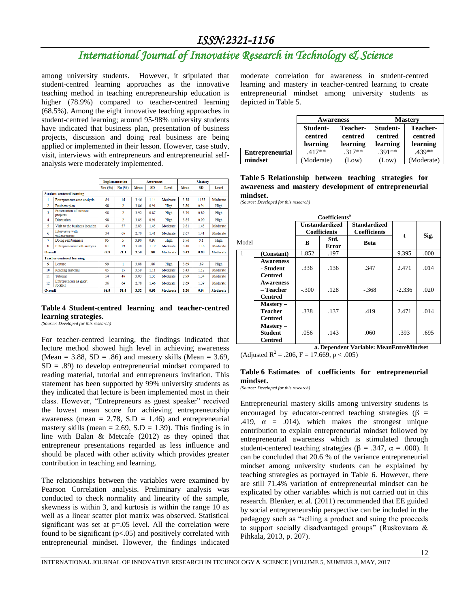# *International Journal of Innovative Research in Technology & Science*

among university students. However, it stipulated that student-centred learning approaches as the innovative teaching method in teaching entrepreneurship education is higher (78.9%) compared to teacher-centred learning (68.5%). Among the eight innovative teaching approaches in student-centred learning; around 95-98% university students have indicated that business plan, presentation of business projects, discussion and doing real business are being applied or implemented in their lesson. However, case study, visit, interviews with entrepreneurs and entrepreneurial selfanalysis were moderately implemented.

|                |                                      |           | <b>Implementation</b> | <b>Awareness</b> |           | <b>Mastery</b> |      |           |          |
|----------------|--------------------------------------|-----------|-----------------------|------------------|-----------|----------------|------|-----------|----------|
|                |                                      | Yes $(%)$ | No(%)                 | Mean             | <b>SD</b> | Level          | Mean | <b>SD</b> | Level    |
|                | <b>Student-centered learning</b>     |           |                       |                  |           |                |      |           |          |
| 1              | Entrepreneurs case analysis          | 84        | 16                    | 3.46             | 1.14      | Moderate       | 3.38 | 1.158     | Moderate |
| $\overline{2}$ | <b>Business plan</b>                 | 98        | $\overline{2}$        | 3.86             | 0.91      | High           | 3.80 | 0.94      | High     |
| R              | Presentation of business<br>projects | 98        | $\overline{2}$        | 3.92             | 0.87      | High           | 3.79 | 0.89      | High     |
| 4              | <b>Discussion</b>                    | 98        | $\overline{2}$        | 3.85             | 0.91      | High           | 3.85 | 0.90      | High     |
| 5              | Visit to the business location       | 43        | 57                    | 2.83             | 1.45      | Moderate       | 2.81 | 1.43      | Moderate |
| 6              | Interviews with<br>entrepreneurs     | 34        | 66                    | 2.70             | 1.41      | Moderate       | 2.67 | 141       | Moderate |
| $\overline{7}$ | Doing real business                  | 95        | 5                     | 3.90             | 0.97      | High           | 3.76 | 0.1       | High     |
| 8              | Entrepreneurial self-analysis        | 81        | 19                    | 3.48             | 1.19      | Moderate       | 3.40 | 1 1 6     | Moderate |
| <b>Overall</b> |                                      | 78.9      | 21.1                  | 3.50             | .80       | Moderate       | 3.43 | 0.80      | Moderate |
|                | <b>Teacher-centered learning</b>     |           |                       |                  |           |                |      |           |          |
| $\mathbf 0$    | Lecture                              | 99        | 1                     | 3.88             | .86       | High           | 3.69 | .89       | High     |
| 10             | Reading material                     | 85        | 15                    | 3.59             | 1.11      | Moderate       | 3.43 | 1.12      | Moderate |
| 11             | Tutorial                             | 54        | 46                    | 3.03             | 1.35      | Moderate       | 2.99 | 1.34      | Moderate |
| 12             | Entrepreneurs as guest<br>speaker    | 36        | 64                    | 2.78             | 146       | Moderate       | 2.69 | 1.39      | Moderate |
| <b>Overall</b> |                                      | 68.5      | 31.5                  | 3.32             | 0.93      | Moderate       | 3.20 | 0.94      | Moderate |

### **Table 4 Student-centred learning and teacher-centred learning strategies.**

*(Source: Developed for this research)*

For teacher-centred learning, the findings indicated that lecture method showed high level in achieving awareness (Mean = 3.88, SD = .86) and mastery skills (Mean = 3.69,  $SD = .89$ ) to develop entrepreneurial mindset compared to reading material, tutorial and entrepreneurs invitation. This statement has been supported by 99% university students as they indicated that lecture is been implemented most in their class. However, "Entrepreneurs as guest speaker" received the lowest mean score for achieving entrepreneurship awareness (mean =  $2.78$ , S.D = 1.46) and entrepreneurial mastery skills (mean  $= 2.69$ , S.D  $= 1.39$ ). This finding is in line with Balan & Metcafe (2012) as they opined that entrepreneur presentations regarded as less influence and should be placed with other activity which provides greater contribution in teaching and learning.

The relationships between the variables were examined by Pearson Correlation analysis. Preliminary analysis was conducted to check normality and linearity of the sample, skewness is within 3, and kurtosis is within the range 10 as well as a linear scatter plot matrix was observed. Statistical significant was set at p=.05 level. All the correlation were found to be significant  $(p<.05)$  and positively correlated with entrepreneurial mindset. However, the findings indicated moderate correlation for awareness in student-centred learning and mastery in teacher-centred learning to create entrepreneurial mindset among university students as depicted in Table 5.

|                        | <b>Awareness</b>                |                                 | <b>Mastery</b>                  |                                 |  |
|------------------------|---------------------------------|---------------------------------|---------------------------------|---------------------------------|--|
|                        | Student-<br>centred<br>learning | Teacher-<br>centred<br>learning | Student-<br>centred<br>learning | Teacher-<br>centred<br>learning |  |
| <b>Entrepreneurial</b> | $.417**$                        | $.317**$                        | $.391**$                        | $.439**$                        |  |
| mindset                | (Moderate)                      | (Low)                           | (Low)                           | (Moderate)                      |  |

| Table 5 Relationship between teaching strategies for |  |  |
|------------------------------------------------------|--|--|
| awareness and mastery development of entrepreneurial |  |  |
| mindset.                                             |  |  |

*(Source: Developed for this research)*

| Coefficients <sup>a</sup> |                                                 |                                              |                      |                                            |          |      |  |  |
|---------------------------|-------------------------------------------------|----------------------------------------------|----------------------|--------------------------------------------|----------|------|--|--|
|                           |                                                 | <b>Unstandardized</b><br><b>Coefficients</b> |                      | <b>Standardized</b><br><b>Coefficients</b> | t        |      |  |  |
| Model                     |                                                 | В                                            | Std.<br><b>Error</b> | <b>Beta</b>                                |          | Sig. |  |  |
| 1                         | (Constant)                                      | 1.852                                        | .197                 |                                            | 9.395    | .000 |  |  |
|                           | <b>Awareness</b><br>- Student<br><b>Centred</b> | .336                                         | .136                 | .347                                       | 2.471    | .014 |  |  |
|                           | <b>Awareness</b><br>– Teacher<br><b>Centred</b> | $-.300$                                      | .128                 | $-.368$                                    | $-2.336$ | .020 |  |  |
|                           | Mastery-<br>Teacher<br><b>Centred</b>           | .338                                         | .137                 | .419                                       | 2.471    | .014 |  |  |
|                           | Mastery-<br><b>Student</b><br><b>Centred</b>    | .056                                         | .143                 | .060                                       | .393     | .695 |  |  |

**a. Dependent Variable: MeanEntreMindset** (Adjusted R<sup>2</sup> = .206, F = 17.669, p < .005)

### **Table 6 Estimates of coefficients for entrepreneurial mindset.**

*(Source: Developed for this research)*

Entrepreneurial mastery skills among university students is encouraged by educator-centred teaching strategies ( $\beta$  = .419,  $\alpha$  = .014), which makes the strongest unique contribution to explain entrepreneurial mindset followed by entrepreneurial awareness which is stimulated through student-centered teaching strategies ( $\beta = .347$ ,  $\alpha = .000$ ). It can be concluded that 20.6 % of the variance entrepreneurial mindset among university students can be explained by teaching strategies as portrayed in Table 6. However, there are still 71.4% variation of entrepreneurial mindset can be explicated by other variables which is not carried out in this research. Blenker, et al. (2011) recommended that EE guided by social entrepreneurship perspective can be included in the pedagogy such as "selling a product and suing the proceeds to support socially disadvantaged groups" (Ruskovaara & Pihkala, 2013, p. 207).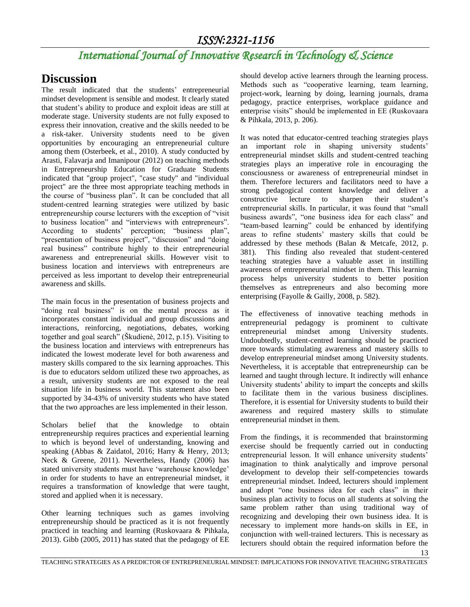# *International Journal of Innovative Research in Technology & Science*

## **Discussion**

The result indicated that the students' entrepreneurial mindset development is sensible and modest. It clearly stated that student's ability to produce and exploit ideas are still at moderate stage. University students are not fully exposed to express their innovation, creative and the skills needed to be a risk-taker. University students need to be given opportunities by encouraging an entrepreneurial culture among them (Osterbeek, et al., 2010). A study conducted by Arasti, Falavarja and Imanipour (2012) on teaching methods in Entrepreneurship Education for Graduate Students indicated that "group project", "case study" and "individual project" are the three most appropriate teaching methods in the course of "business plan". It can be concluded that all student-centred learning strategies were utilized by basic entrepreneurship course lecturers with the exception of "visit to business location" and "interviews with entrepreneurs". According to students' perception; "business plan", "presentation of business project", "discussion" and "doing real business" contribute highly to their entrepreneurial awareness and entrepreneurial skills. However visit to business location and interviews with entrepreneurs are perceived as less important to develop their entrepreneurial awareness and skills.

The main focus in the presentation of business projects and "doing real business" is on the mental process as it incorporates constant individual and group discussions and interactions, reinforcing, negotiations, debates, working together and goal search" (Škudienė, 2012, p.15). Visiting to the business location and interviews with entrepreneurs has indicated the lowest moderate level for both awareness and mastery skills compared to the six learning approaches. This is due to educators seldom utilized these two approaches, as a result, university students are not exposed to the real situation life in business world. This statement also been supported by 34-43% of university students who have stated that the two approaches are less implemented in their lesson.

Scholars belief that the knowledge to obtain entrepreneurship requires practices and experiential learning to which is beyond level of understanding, knowing and speaking (Abbas & Zaidatol, 2016; Harry & Henry, 2013; Neck & Greene, 2011). Nevertheless, Handy (2006) has stated university students must have 'warehouse knowledge' in order for students to have an entrepreneurial mindset, it requires a transformation of knowledge that were taught, stored and applied when it is necessary.

Other learning techniques such as games involving entrepreneurship should be practiced as it is not frequently practiced in teaching and learning (Ruskovaara & Pihkala, 2013). Gibb (2005, 2011) has stated that the pedagogy of EE should develop active learners through the learning process. Methods such as "cooperative learning, team learning, project-work, learning by doing, learning journals, drama pedagogy, practice enterprises, workplace guidance and enterprise visits" should be implemented in EE (Ruskovaara & Pihkala, 2013, p. 206).

It was noted that educator-centred teaching strategies plays an important role in shaping university students' entrepreneurial mindset skills and student-centred teaching strategies plays an imperative role in encouraging the consciousness or awareness of entrepreneurial mindset in them. Therefore lecturers and facilitators need to have a strong pedagogical content knowledge and deliver a constructive lecture to sharpen their student's entrepreneurial skills. In particular, it was found that "small business awards", "one business idea for each class" and "team-based learning" could be enhanced by identifying areas to refine students' mastery skills that could be addressed by these methods (Balan & Metcafe, 2012, p. 381). This finding also revealed that student-centered teaching strategies have a valuable asset in instilling awareness of entrepreneurial mindset in them. This learning process helps university students to better position themselves as entrepreneurs and also becoming more enterprising (Fayolle & Gailly, 2008, p. 582).

The effectiveness of innovative teaching methods in entrepreneurial pedagogy is prominent to cultivate entrepreneurial mindset among University students. Undoubtedly, student-centred learning should be practiced more towards stimulating awareness and mastery skills to develop entrepreneurial mindset among University students. Nevertheless, it is acceptable that entrepreneurship can be learned and taught through lecture. It indirectly will enhance University students' ability to impart the concepts and skills to facilitate them in the various business disciplines. Therefore, it is essential for University students to build their awareness and required mastery skills to stimulate entrepreneurial mindset in them.

From the findings, it is recommended that brainstorming exercise should be frequently carried out in conducting entrepreneurial lesson. It will enhance university students' imagination to think analytically and improve personal development to develop their self-competencies towards entrepreneurial mindset. Indeed, lecturers should implement and adopt "one business idea for each class" in their business plan activity to focus on all students at solving the same problem rather than using traditional way of recognizing and developing their own business idea. It is necessary to implement more hands-on skills in EE, in conjunction with well-trained lecturers. This is necessary as lecturers should obtain the required information before the

13

TEACHING STRATEGIES AS A PREDICTOR OF ENTREPRENEURIAL MINDSET: IMPLICATIONS FOR INNOVATIVE TEACHING STRATEGIES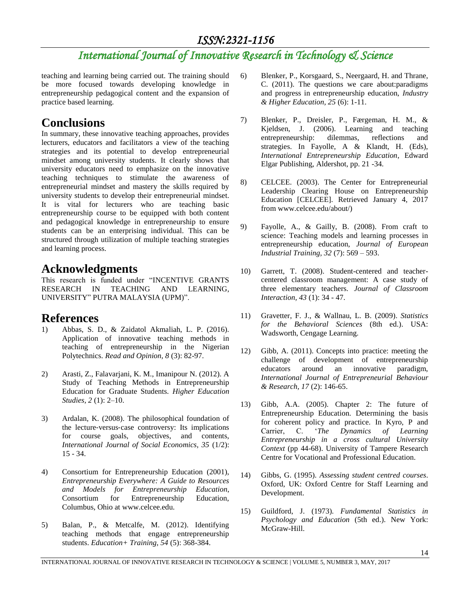# *International Journal of Innovative Research in Technology & Science*

teaching and learning being carried out. The training should be more focused towards developing knowledge in entrepreneurship pedagogical content and the expansion of practice based learning.

# **Conclusions**

In summary, these innovative teaching approaches, provides lecturers, educators and facilitators a view of the teaching strategies and its potential to develop entrepreneurial mindset among university students. It clearly shows that university educators need to emphasize on the innovative teaching techniques to stimulate the awareness of entrepreneurial mindset and mastery the skills required by university students to develop their entrepreneurial mindset. It is vital for lecturers who are teaching basic entrepreneurship course to be equipped with both content and pedagogical knowledge in entrepreneurship to ensure students can be an enterprising individual. This can be structured through utilization of multiple teaching strategies and learning process.

# **Acknowledgments**

This research is funded under "INCENTIVE GRANTS RESEARCH IN TEACHING AND LEARNING, UNIVERSITY" PUTRA MALAYSIA (UPM)".

## **References**

- 1) Abbas, S. D., & Zaidatol Akmaliah, L. P. (2016). Application of innovative teaching methods in teaching of entrepreneurship in the Nigerian Polytechnics. *Read and Opinion, 8* (3): 82-97.
- 2) Arasti, Z., Falavarjani, K. M., Imanipour N. (2012). A Study of Teaching Methods in Entrepreneurship Education for Graduate Students. *Higher Education Studies, 2* (1): 2–10.
- 3) Ardalan, K. (2008). The philosophical foundation of the lecture‐versus‐case controversy: Its implications for course goals, objectives, and contents, *International Journal of Social Economics, 35* (1/2): 15 - 34.
- 4) Consortium for Entrepreneurship Education (2001), *Entrepreneurship Everywhere: A Guide to Resources and Models for Entrepreneurship Education*, Consortium for Entrepreneurship Education, Columbus, Ohio at www.celcee.edu.
- 5) Balan, P., & Metcalfe, M. (2012). Identifying teaching methods that engage entrepreneurship students. *Education+ Training, 54* (5): 368-384.
- 6) Blenker, P., Korsgaard, S., Neergaard, H. and Thrane, C. (2011). The questions we care about:paradigms and progress in entrepreneurship education, *Industry & Higher Education, 25* (6): 1-11.
- 7) Blenker, P., Dreisler, P., Færgeman, H. M., & Kjeldsen, J. (2006). Learning and teaching entrepreneurship: dilemmas, reflections and strategies. In Fayolle, A & Klandt, H. (Eds), *International Entrepreneurship Education*, Edward Elgar Publishing, Aldershot, pp. 21 -34.
- 8) CELCEE. (2003). The Center for Entrepreneurial Leadership Clearing House on Entrepreneurship Education [CELCEE]. Retrieved January 4, 2017 from www.celcee.edu/about/)
- 9) Fayolle, A., & Gailly, B. (2008). From craft to science: Teaching models and learning processes in entrepreneurship education, *Journal of European Industrial Training, 32* (7): 569 – 593.
- 10) Garrett, T. (2008). Student-centered and teachercentered classroom management: A case study of three elementary teachers. *Journal of Classroom Interaction, 43* (1): 34 - 47.
- 11) Gravetter, F. J., & Wallnau, L. B. (2009). *Statistics for the Behavioral Sciences* (8th ed.). USA: Wadsworth, Cengage Learning.
- 12) Gibb, A. (2011). Concepts into practice: meeting the challenge of development of entrepreneurship educators around an innovative paradigm, *International Journal of Entrepreneurial Behaviour & Research, 17* (2): 146-65.
- 13) Gibb, A.A. (2005). Chapter 2: The future of Entrepreneurship Education. Determining the basis for coherent policy and practice. In Kyro, P and Carrier, C. '*The Dynamics of Learning Entrepreneurship in a cross cultural University Context* (pp 44-68). University of Tampere Research Centre for Vocational and Professional Education.
- 14) Gibbs, G. (1995). *Assessing student centred courses*. Oxford, UK: Oxford Centre for Staff Learning and Development.
- 15) Guildford, J. (1973). *Fundamental Statistics in Psychology and Education* (5th ed.). New York: McGraw-Hill.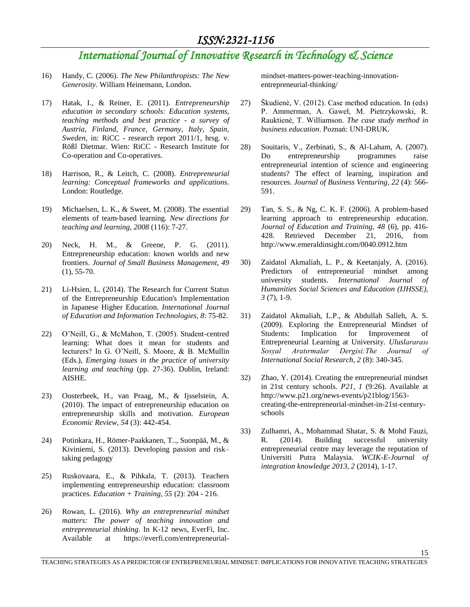# *International Journal of Innovative Research in Technology & Science*

- 16) Handy, C. (2006). *The New Philanthropists: The New Generosity*. William Heinemann, London.
- 17) Hatak, I., & Reiner, E. (2011). *Entrepreneurship education in secondary schools: Education systems, teaching methods and best practice - a survey of Austria, Finland, France, Germany, Italy, Spain, Sweden*, in: RiCC - research report 2011/1, hrsg. v. Rößl Dietmar. Wien: RiCC - Research Institute for Co-operation and Co-operatives.
- 18) Harrison, R., & Leitch, C. (2008). *Entrepreneurial learning: Conceptual frameworks and applications*. London: Routledge.
- 19) Michaelsen, L. K., & Sweet, M. (2008). The essential elements of team‐based learning. *New directions for teaching and learning, 2008* (116): 7-27.
- 20) Neck, H. M., & Greene, P. G. (2011). Entrepreneurship education: known worlds and new frontiers. *Journal of Small Business Management, 49*  $(1), 55-70.$
- 21) Li-Hsien, L. (2014). The Research for Current Status of the Entrepreneurship Education's Implementation in Japanese Higher Education. *International Journal of Education and Information Technologies, 8*: 75-82.
- 22) O'Neill, G., & McMahon, T. (2005). Student-centred learning: What does it mean for students and lecturers? In G. O'Neill, S. Moore, & B. McMullin (Eds.), *Emerging issues in the practice of university learning and teaching* (pp. 27-36). Dublin, Ireland: AISHE.
- 23) Oosterbeek, H., van Praag, M., & Ijsselstein, A. (2010). The impact of entrepreneurship education on entrepreneurship skills and motivation. *European Economic Review, 54* (3): 442-454.
- 24) Potinkara, H., Römer-Paakkanen, T.., Suonpää, M., & Kiviniemi, S. (2013). Developing passion and risk– taking pedagogy
- 25) Ruskovaara, E., & Pihkala, T. (2013). Teachers implementing entrepreneurship education: classroom practices. *Education + Training, 55* (2): 204 - 216.
- 26) Rowan, L. (2016). *Why an entrepreneurial mindset matters: The power of teaching innovation and entrepreneurial thinking*. In K-12 news, EverFi, Inc. Available at https://everfi.com/entrepreneurial-

mindset-matters-power-teaching-innovationentrepreneurial-thinking/

- 27) Škudienė, V. (2012). Case method education. In (eds) P. Ammerman, A. Gaweł, M. Pietrzykowski, R. Rauktienė, T. Williamson. *The case study method in business education*. Poznań: UNI-DRUK.
- 28) Souitaris, V., Zerbinati, S., & Al-Laham, A. (2007). Do entrepreneurship programmes raise entrepreneurial intention of science and engineering students? The effect of learning, inspiration and resources. *Journal of Business Venturing, 22* (4): 566- 591.
- 29) Tan, S. S., & Ng, C. K. F. (2006). A problem-based learning approach to entrepreneurship education. *Journal of Education and Training, 48* (6), pp. 416- 428. Retrieved December 21, 2016, from http://www.emeraldinsight.com/0040.0912.htm
- 30) Zaidatol Akmaliah, L. P., & Keetanjaly, A. (2016). Predictors of entrepreneurial mindset among university students. *International Journal of Humanities Social Sciences and Education (IJHSSE), 3* (7), 1-9.
- 31) Zaidatol Akmaliah, L.P., & Abdullah Salleh, A. S. (2009). Exploring the Entrepreneurial Mindset of Students: Implication for Improvement of Entrepreneurial Learning at University. *Uluslararası Sosyal Aratırmalar Dergisi:The Journal of International Social Research, 2* (8): 340-345.
- 32) Zhao, Y. (2014). Creating the entrepreneurial mindset in 21st century schools. *P21, 1* (9:26). Available at http://www.p21.org/news-events/p21blog/1563 creating-the-entrepreneurial-mindset-in-21st-centuryschools
- 33) Zulhamri, A., Mohammad Shatar, S. & Mohd Fauzi, R. (2014). Building successful university entrepreneurial centre may leverage the reputation of Universiti Putra Malaysia. *WCIK-E-Journal of integration knowledge 2013, 2* (2014), 1-17.

15

TEACHING STRATEGIES AS A PREDICTOR OF ENTREPRENEURIAL MINDSET: IMPLICATIONS FOR INNOVATIVE TEACHING STRATEGIES